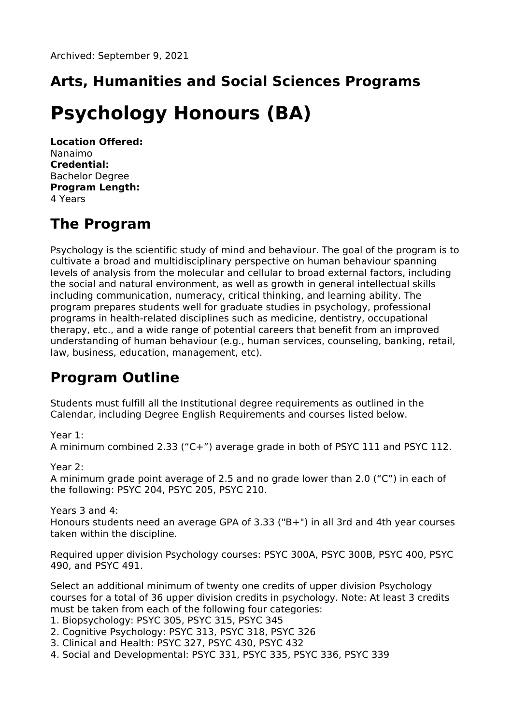## **Arts, Humanities and Social Sciences Programs**

# **Psychology Honours (BA)**

**Location Offered:** Nanaimo **Credential:** Bachelor Degree **Program Length:** 4 Years

### **The Program**

Psychology is the scientific study of mind and behaviour. The goal of the program is to cultivate a broad and multidisciplinary perspective on human behaviour spanning levels of analysis from the molecular and cellular to broad external factors, including the social and natural environment, as well as growth in general intellectual skills including communication, numeracy, critical thinking, and learning ability. The program prepares students well for graduate studies in psychology, professional programs in health-related disciplines such as medicine, dentistry, occupational therapy, etc., and a wide range of potential careers that benefit from an improved understanding of human behaviour (e.g., human services, counseling, banking, retail, law, business, education, management, etc).

### **Program Outline**

Students must fulfill all the Institutional degree requirements as outlined in the Calendar, including Degree English Requirements and courses listed below.

#### Year 1:

A minimum combined 2.33 ("C+") average grade in both of PSYC 111 and PSYC 112.

#### Year 2:

A minimum grade point average of 2.5 and no grade lower than 2.0 ("C") in each of the following: PSYC 204, PSYC 205, PSYC 210.

#### Years 3 and 4:

Honours students need an average GPA of 3.33 ("B+") in all 3rd and 4th year courses taken within the discipline.

Required upper division Psychology courses: PSYC 300A, PSYC 300B, PSYC 400, PSYC 490, and PSYC 491.

Select an additional minimum of twenty one credits of upper division Psychology courses for a total of 36 upper division credits in psychology. Note: At least 3 credits must be taken from each of the following four categories:

- 1. Biopsychology: PSYC 305, PSYC 315, PSYC 345
- 2. Cognitive Psychology: PSYC 313, PSYC 318, PSYC 326
- 3. Clinical and Health: PSYC 327, PSYC 430, PSYC 432
- 4. Social and Developmental: PSYC 331, PSYC 335, PSYC 336, PSYC 339